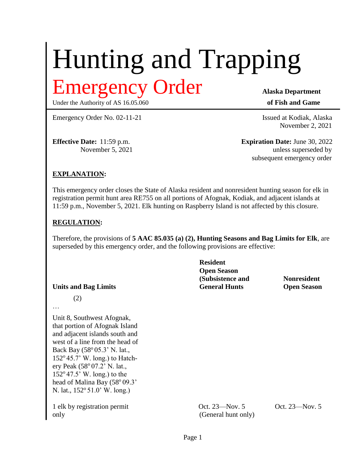# Hunting and Trapping Emergency Order **Alaska Department**

Under the Authority of AS 16.05.060 **of Fish and Game** 

Emergency Order No. 02-11-21 Issued at Kodiak, Alaska

November 2, 2021

**Effective Date:** 11:59 p.m. **Expiration Date:** June 30, 2022 November 5, 2021 unless superseded by subsequent emergency order

#### **EXPLANATION:**

This emergency order closes the State of Alaska resident and nonresident hunting season for elk in registration permit hunt area RE755 on all portions of Afognak, Kodiak, and adjacent islands at 11:59 p.m., November 5, 2021. Elk hunting on Raspberry Island is not affected by this closure.

#### **REGULATION:**

Therefore, the provisions of **5 AAC 85.035 (a) (2), Hunting Seasons and Bag Limits for Elk**, are superseded by this emergency order, and the following provisions are effective:

|                                                                                                                                                                                                                                                                                                                                                      | <b>Resident</b><br><b>Open Season</b><br>(Subsistence and<br><b>General Hunts</b> | <b>Nonresident</b> |
|------------------------------------------------------------------------------------------------------------------------------------------------------------------------------------------------------------------------------------------------------------------------------------------------------------------------------------------------------|-----------------------------------------------------------------------------------|--------------------|
| <b>Units and Bag Limits</b>                                                                                                                                                                                                                                                                                                                          |                                                                                   | <b>Open Season</b> |
| (2)<br>$\cdot\cdot\cdot$                                                                                                                                                                                                                                                                                                                             |                                                                                   |                    |
| Unit 8, Southwest Afognak,<br>that portion of Afognak Island<br>and adjacent islands south and<br>west of a line from the head of<br>Back Bay (58° 05.3' N. lat.,<br>$152^{\circ}$ 45.7' W. long.) to Hatch-<br>ery Peak (58° 07.2' N. lat.,<br>$152^{\circ}47.5$ W. long.) to the<br>head of Malina Bay (58° 09.3'<br>N. lat., 152° 51.0' W. long.) |                                                                                   |                    |
| 1 elk by registration permit<br>only                                                                                                                                                                                                                                                                                                                 | Oct. 23—Nov. 5<br>(General hunt only)                                             | Oct. 23—Nov. 5     |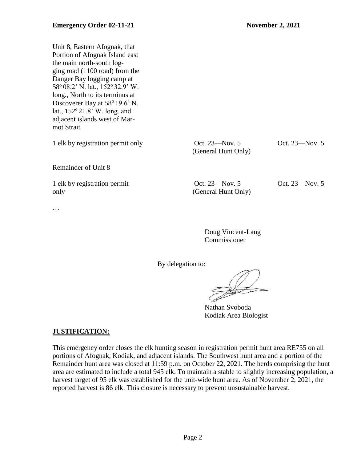Unit 8, Eastern Afognak, that Portion of Afognak Island east the main north-south logging road (1100 road) from the Danger Bay logging camp at 58° 08.2' N. lat., 152° 32.9' W. long., North to its terminus at Discoverer Bay at 58<sup>°</sup> 19.6' N. lat.,  $152^{\circ}21.8$ ' W. long. and adjacent islands west of Marmot Strait 1 elk by registration permit only Oct. 23—Nov. 5 Oct. 23—Nov. 5 (General Hunt Only) Remainder of Unit 8 1 elk by registration permit Oct. 23—Nov. 5 Oct. 23—Nov. 5 only (General Hunt Only) …

> Doug Vincent-Lang Commissioner

By delegation to:

Nathan Svoboda Kodiak Area Biologist

## **JUSTIFICATION:**

This emergency order closes the elk hunting season in registration permit hunt area RE755 on all portions of Afognak, Kodiak, and adjacent islands. The Southwest hunt area and a portion of the Remainder hunt area was closed at 11:59 p.m. on October 22, 2021. The herds comprising the hunt area are estimated to include a total 945 elk. To maintain a stable to slightly increasing population, a harvest target of 95 elk was established for the unit-wide hunt area. As of November 2, 2021, the reported harvest is 86 elk. This closure is necessary to prevent unsustainable harvest.